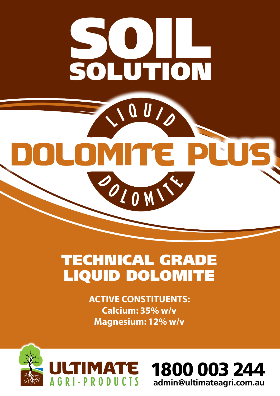

# TECHNICAL GRADE LIQUID DOLOMITE

**ACTIVE CONSTITUENTS: Calcium: 35% w/v Magnesium: 12% w/v**



1800 003 244 **admin@ultimateagri.com.au**